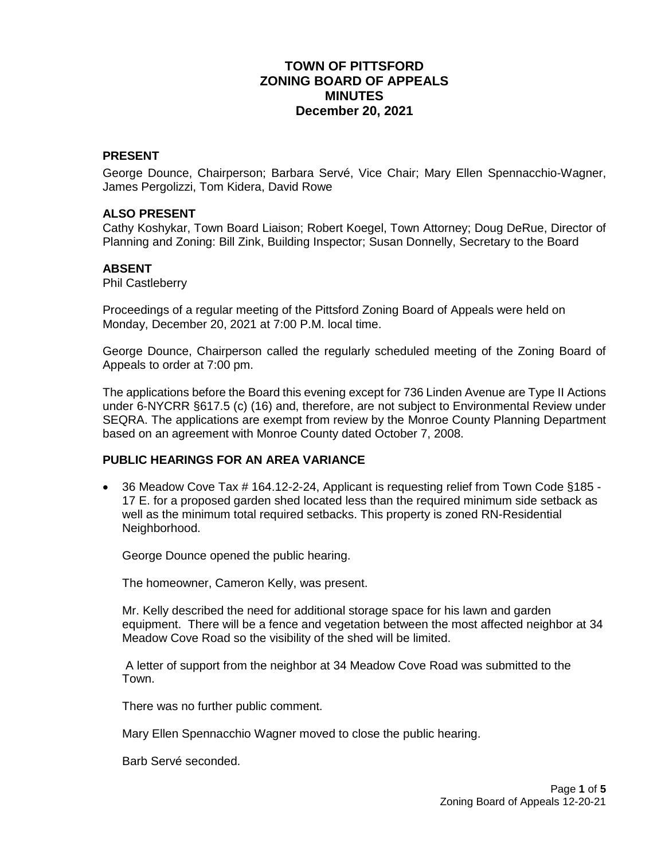# **TOWN OF PITTSFORD ZONING BOARD OF APPEALS MINUTES December 20, 2021**

### **PRESENT**

George Dounce, Chairperson; Barbara Servé, Vice Chair; Mary Ellen Spennacchio-Wagner, James Pergolizzi, Tom Kidera, David Rowe

#### **ALSO PRESENT**

Cathy Koshykar, Town Board Liaison; Robert Koegel, Town Attorney; Doug DeRue, Director of Planning and Zoning: Bill Zink, Building Inspector; Susan Donnelly, Secretary to the Board

#### **ABSENT**

Phil Castleberry

Proceedings of a regular meeting of the Pittsford Zoning Board of Appeals were held on Monday, December 20, 2021 at 7:00 P.M. local time.

George Dounce, Chairperson called the regularly scheduled meeting of the Zoning Board of Appeals to order at 7:00 pm.

The applications before the Board this evening except for 736 Linden Avenue are Type II Actions under 6-NYCRR §617.5 (c) (16) and, therefore, are not subject to Environmental Review under SEQRA. The applications are exempt from review by the Monroe County Planning Department based on an agreement with Monroe County dated October 7, 2008.

# **PUBLIC HEARINGS FOR AN AREA VARIANCE**

 36 Meadow Cove Tax # 164.12-2-24, Applicant is requesting relief from Town Code §185 - 17 E. for a proposed garden shed located less than the required minimum side setback as well as the minimum total required setbacks. This property is zoned RN-Residential Neighborhood.

George Dounce opened the public hearing.

The homeowner, Cameron Kelly, was present.

Mr. Kelly described the need for additional storage space for his lawn and garden equipment. There will be a fence and vegetation between the most affected neighbor at 34 Meadow Cove Road so the visibility of the shed will be limited.

A letter of support from the neighbor at 34 Meadow Cove Road was submitted to the Town.

There was no further public comment.

Mary Ellen Spennacchio Wagner moved to close the public hearing.

Barb Servé seconded.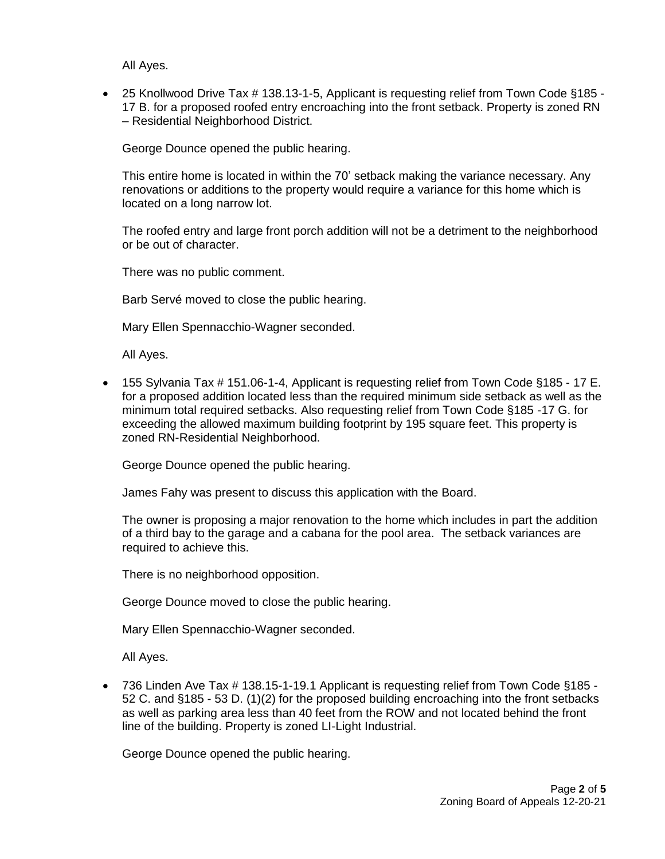All Ayes.

 25 Knollwood Drive Tax # 138.13-1-5, Applicant is requesting relief from Town Code §185 - 17 B. for a proposed roofed entry encroaching into the front setback. Property is zoned RN – Residential Neighborhood District.

George Dounce opened the public hearing.

This entire home is located in within the 70' setback making the variance necessary. Any renovations or additions to the property would require a variance for this home which is located on a long narrow lot.

The roofed entry and large front porch addition will not be a detriment to the neighborhood or be out of character.

There was no public comment.

Barb Servé moved to close the public hearing.

Mary Ellen Spennacchio-Wagner seconded.

All Ayes.

 155 Sylvania Tax # 151.06-1-4, Applicant is requesting relief from Town Code §185 - 17 E. for a proposed addition located less than the required minimum side setback as well as the minimum total required setbacks. Also requesting relief from Town Code §185 -17 G. for exceeding the allowed maximum building footprint by 195 square feet. This property is zoned RN-Residential Neighborhood.

George Dounce opened the public hearing.

James Fahy was present to discuss this application with the Board.

The owner is proposing a major renovation to the home which includes in part the addition of a third bay to the garage and a cabana for the pool area. The setback variances are required to achieve this.

There is no neighborhood opposition.

George Dounce moved to close the public hearing.

Mary Ellen Spennacchio-Wagner seconded.

All Ayes.

 736 Linden Ave Tax # 138.15-1-19.1 Applicant is requesting relief from Town Code §185 - 52 C. and §185 - 53 D. (1)(2) for the proposed building encroaching into the front setbacks as well as parking area less than 40 feet from the ROW and not located behind the front line of the building. Property is zoned LI-Light Industrial.

George Dounce opened the public hearing.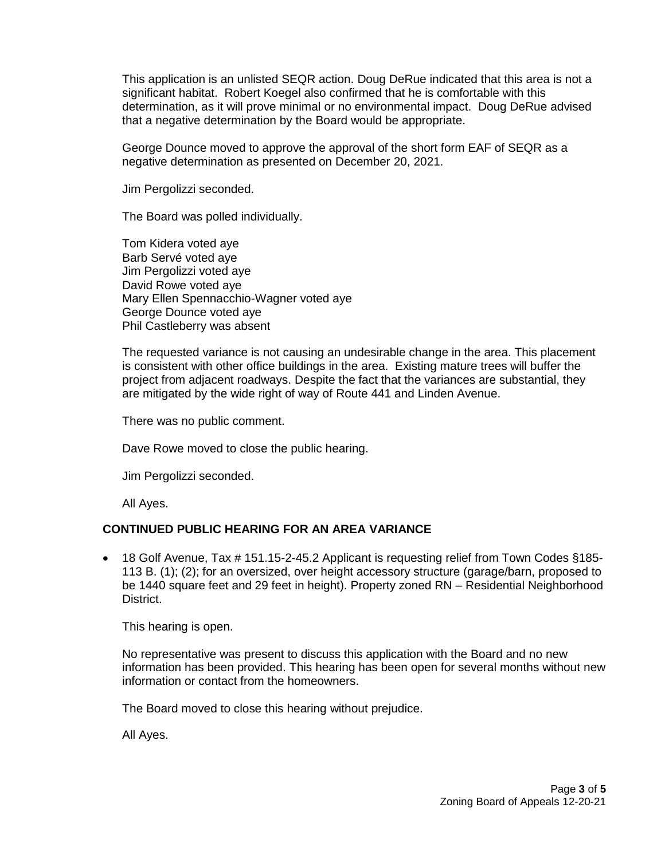This application is an unlisted SEQR action. Doug DeRue indicated that this area is not a significant habitat. Robert Koegel also confirmed that he is comfortable with this determination, as it will prove minimal or no environmental impact. Doug DeRue advised that a negative determination by the Board would be appropriate.

George Dounce moved to approve the approval of the short form EAF of SEQR as a negative determination as presented on December 20, 2021.

Jim Pergolizzi seconded.

The Board was polled individually.

Tom Kidera voted aye Barb Servé voted aye Jim Pergolizzi voted aye David Rowe voted aye Mary Ellen Spennacchio-Wagner voted aye George Dounce voted aye Phil Castleberry was absent

The requested variance is not causing an undesirable change in the area. This placement is consistent with other office buildings in the area. Existing mature trees will buffer the project from adjacent roadways. Despite the fact that the variances are substantial, they are mitigated by the wide right of way of Route 441 and Linden Avenue.

There was no public comment.

Dave Rowe moved to close the public hearing.

Jim Pergolizzi seconded.

All Ayes.

# **CONTINUED PUBLIC HEARING FOR AN AREA VARIANCE**

 18 Golf Avenue, Tax # 151.15-2-45.2 Applicant is requesting relief from Town Codes §185- 113 B. (1); (2); for an oversized, over height accessory structure (garage/barn, proposed to be 1440 square feet and 29 feet in height). Property zoned RN – Residential Neighborhood District.

This hearing is open.

No representative was present to discuss this application with the Board and no new information has been provided. This hearing has been open for several months without new information or contact from the homeowners.

The Board moved to close this hearing without prejudice.

All Ayes.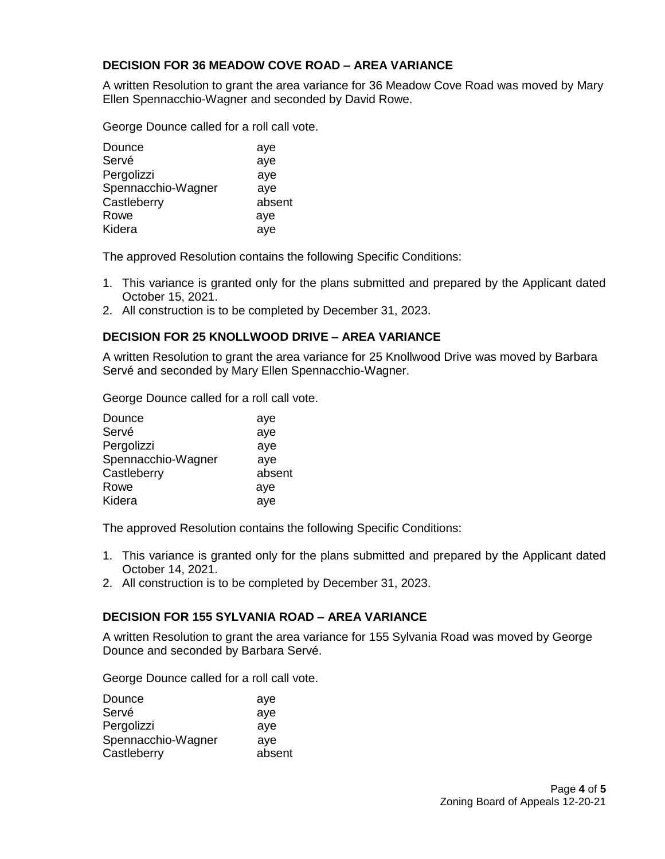# **DECISION FOR 36 MEADOW COVE ROAD – AREA VARIANCE**

A written Resolution to grant the area variance for 36 Meadow Cove Road was moved by Mary Ellen Spennacchio-Wagner and seconded by David Rowe.

George Dounce called for a roll call vote.

| Dounce             | aye    |
|--------------------|--------|
| Servé              | aye    |
| Pergolizzi         | aye    |
| Spennacchio-Wagner | aye    |
| Castleberry        | absent |
| Rowe               | aye    |
| Kidera             | aye    |

The approved Resolution contains the following Specific Conditions:

- 1. This variance is granted only for the plans submitted and prepared by the Applicant dated October 15, 2021.
- 2. All construction is to be completed by December 31, 2023.

### **DECISION FOR 25 KNOLLWOOD DRIVE – AREA VARIANCE**

A written Resolution to grant the area variance for 25 Knollwood Drive was moved by Barbara Servé and seconded by Mary Ellen Spennacchio-Wagner.

George Dounce called for a roll call vote.

| Dounce             | aye    |
|--------------------|--------|
| Servé              | aye    |
| Pergolizzi         | aye    |
| Spennacchio-Wagner | aye    |
| Castleberry        | absent |
| Rowe               | aye    |
| Kidera             | aye    |

The approved Resolution contains the following Specific Conditions:

- 1. This variance is granted only for the plans submitted and prepared by the Applicant dated October 14, 2021.
- 2. All construction is to be completed by December 31, 2023.

### **DECISION FOR 155 SYLVANIA ROAD – AREA VARIANCE**

A written Resolution to grant the area variance for 155 Sylvania Road was moved by George Dounce and seconded by Barbara Servé.

George Dounce called for a roll call vote.

| Dounce             | aye    |
|--------------------|--------|
| Servé              | aye    |
| Pergolizzi         | aye    |
| Spennacchio-Wagner | ave    |
| Castleberry        | absent |